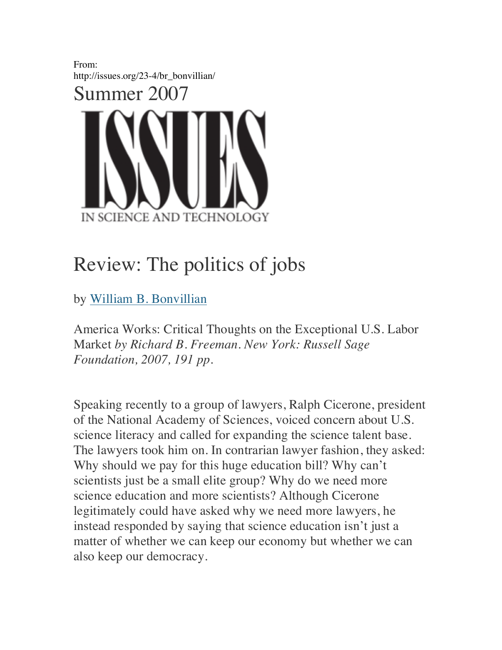

## Review: The politics of jobs

by William B. Bonvillian

America Works: Critical Thoughts on the Exceptional U.S. Labor Market *by Richard B. Freeman. New York: Russell Sage Foundation, 2007, 191 pp.*

Speaking recently to a group of lawyers, Ralph Cicerone, president of the National Academy of Sciences, voiced concern about U.S. science literacy and called for expanding the science talent base. The lawyers took him on. In contrarian lawyer fashion, they asked: Why should we pay for this huge education bill? Why can't scientists just be a small elite group? Why do we need more science education and more scientists? Although Cicerone legitimately could have asked why we need more lawyers, he instead responded by saying that science education isn't just a matter of whether we can keep our economy but whether we can also keep our democracy.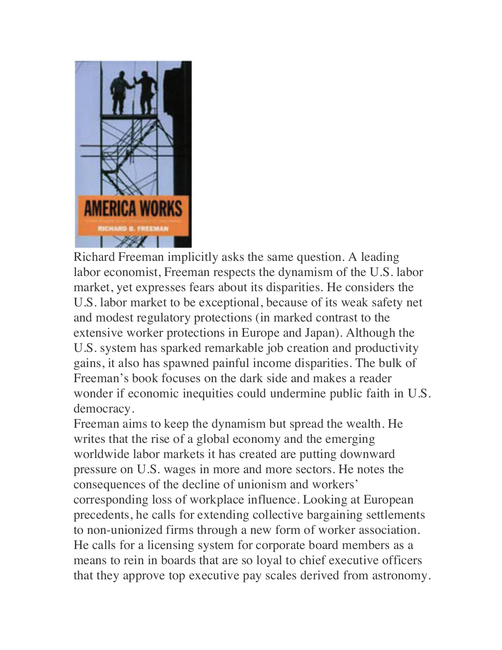

Richard Freeman implicitly asks the same question. A leading labor economist, Freeman respects the dynamism of the U.S. labor market, yet expresses fears about its disparities. He considers the U.S. labor market to be exceptional, because of its weak safety net and modest regulatory protections (in marked contrast to the extensive worker protections in Europe and Japan). Although the U.S. system has sparked remarkable job creation and productivity gains, it also has spawned painful income disparities. The bulk of Freeman's book focuses on the dark side and makes a reader wonder if economic inequities could undermine public faith in U.S. democracy.

Freeman aims to keep the dynamism but spread the wealth. He writes that the rise of a global economy and the emerging worldwide labor markets it has created are putting downward pressure on U.S. wages in more and more sectors. He notes the consequences of the decline of unionism and workers' corresponding loss of workplace influence. Looking at European precedents, he calls for extending collective bargaining settlements to non-unionized firms through a new form of worker association. He calls for a licensing system for corporate board members as a means to rein in boards that are so loyal to chief executive officers that they approve top executive pay scales derived from astronomy.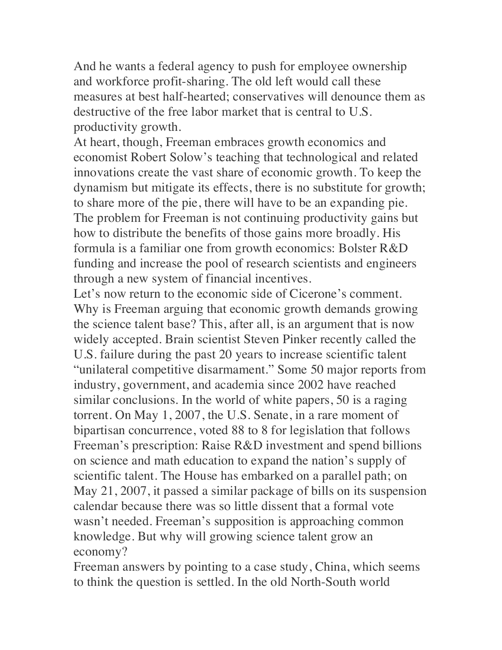And he wants a federal agency to push for employee ownership and workforce profit-sharing. The old left would call these measures at best half-hearted; conservatives will denounce them as destructive of the free labor market that is central to U.S. productivity growth.

At heart, though, Freeman embraces growth economics and economist Robert Solow's teaching that technological and related innovations create the vast share of economic growth. To keep the dynamism but mitigate its effects, there is no substitute for growth; to share more of the pie, there will have to be an expanding pie. The problem for Freeman is not continuing productivity gains but how to distribute the benefits of those gains more broadly. His formula is a familiar one from growth economics: Bolster R&D funding and increase the pool of research scientists and engineers through a new system of financial incentives.

Let's now return to the economic side of Cicerone's comment. Why is Freeman arguing that economic growth demands growing the science talent base? This, after all, is an argument that is now widely accepted. Brain scientist Steven Pinker recently called the U.S. failure during the past 20 years to increase scientific talent "unilateral competitive disarmament." Some 50 major reports from industry, government, and academia since 2002 have reached similar conclusions. In the world of white papers, 50 is a raging torrent. On May 1, 2007, the U.S. Senate, in a rare moment of bipartisan concurrence, voted 88 to 8 for legislation that follows Freeman's prescription: Raise R&D investment and spend billions on science and math education to expand the nation's supply of scientific talent. The House has embarked on a parallel path; on May 21, 2007, it passed a similar package of bills on its suspension calendar because there was so little dissent that a formal vote wasn't needed. Freeman's supposition is approaching common knowledge. But why will growing science talent grow an economy?

Freeman answers by pointing to a case study, China, which seems to think the question is settled. In the old North-South world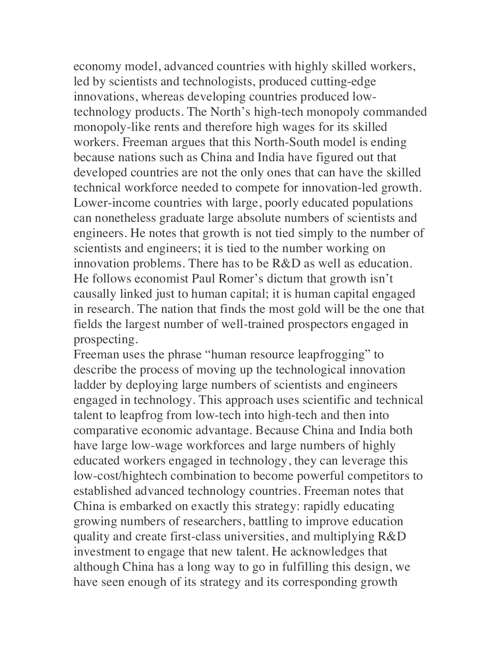economy model, advanced countries with highly skilled workers, led by scientists and technologists, produced cutting-edge innovations, whereas developing countries produced lowtechnology products. The North's high-tech monopoly commanded monopoly-like rents and therefore high wages for its skilled workers. Freeman argues that this North-South model is ending because nations such as China and India have figured out that developed countries are not the only ones that can have the skilled technical workforce needed to compete for innovation-led growth. Lower-income countries with large, poorly educated populations can nonetheless graduate large absolute numbers of scientists and engineers. He notes that growth is not tied simply to the number of scientists and engineers; it is tied to the number working on innovation problems. There has to be R&D as well as education. He follows economist Paul Romer's dictum that growth isn't causally linked just to human capital; it is human capital engaged in research. The nation that finds the most gold will be the one that fields the largest number of well-trained prospectors engaged in prospecting.

Freeman uses the phrase "human resource leapfrogging" to describe the process of moving up the technological innovation ladder by deploying large numbers of scientists and engineers engaged in technology. This approach uses scientific and technical talent to leapfrog from low-tech into high-tech and then into comparative economic advantage. Because China and India both have large low-wage workforces and large numbers of highly educated workers engaged in technology, they can leverage this low-cost/hightech combination to become powerful competitors to established advanced technology countries. Freeman notes that China is embarked on exactly this strategy: rapidly educating growing numbers of researchers, battling to improve education quality and create first-class universities, and multiplying R&D investment to engage that new talent. He acknowledges that although China has a long way to go in fulfilling this design, we have seen enough of its strategy and its corresponding growth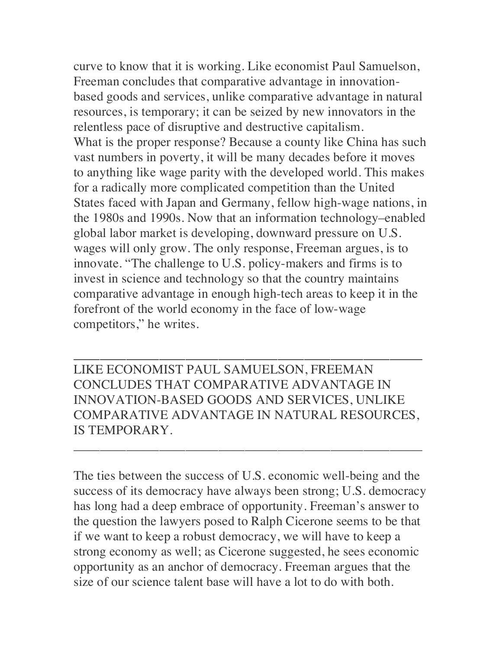curve to know that it is working. Like economist Paul Samuelson, Freeman concludes that comparative advantage in innovationbased goods and services, unlike comparative advantage in natural resources, is temporary; it can be seized by new innovators in the relentless pace of disruptive and destructive capitalism. What is the proper response? Because a county like China has such vast numbers in poverty, it will be many decades before it moves to anything like wage parity with the developed world. This makes for a radically more complicated competition than the United States faced with Japan and Germany, fellow high-wage nations, in the 1980s and 1990s. Now that an information technology–enabled global labor market is developing, downward pressure on U.S. wages will only grow. The only response, Freeman argues, is to innovate. "The challenge to U.S. policy-makers and firms is to invest in science and technology so that the country maintains comparative advantage in enough high-tech areas to keep it in the forefront of the world economy in the face of low-wage competitors," he writes.

LIKE ECONOMIST PAUL SAMUELSON, FREEMAN CONCLUDES THAT COMPARATIVE ADVANTAGE IN INNOVATION-BASED GOODS AND SERVICES, UNLIKE COMPARATIVE ADVANTAGE IN NATURAL RESOURCES, IS TEMPORARY.

\_\_\_\_\_\_\_\_\_\_\_\_\_\_\_\_\_\_\_\_\_\_\_\_\_\_\_\_\_\_\_\_\_\_\_\_\_\_\_\_\_\_\_\_\_\_\_\_\_\_\_\_\_

\_\_\_\_\_\_\_\_\_\_\_\_\_\_\_\_\_\_\_\_\_\_\_\_\_\_\_\_\_\_\_\_\_\_\_\_\_\_\_\_\_\_\_\_\_\_\_\_\_\_\_\_\_

The ties between the success of U.S. economic well-being and the success of its democracy have always been strong; U.S. democracy has long had a deep embrace of opportunity. Freeman's answer to the question the lawyers posed to Ralph Cicerone seems to be that if we want to keep a robust democracy, we will have to keep a strong economy as well; as Cicerone suggested, he sees economic opportunity as an anchor of democracy. Freeman argues that the size of our science talent base will have a lot to do with both.